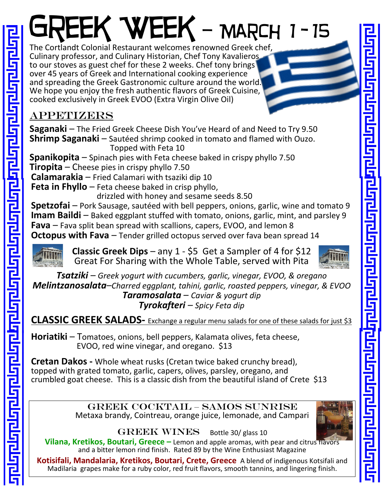## GREEK WEEK - MARCH 1-15

The Cortlandt Colonial Restaurant welcomes renowned Greek chef, Culinary professor, and Culinary Historian, Chef Tony Kavalieros to our stoves as guest chef for these 2 weeks. Chef tony brings over 45 years of Greek and International cooking experience and spreading the Greek Gastronomic culture around the world. We hope you enjoy the fresh authentic flavors of Greek Cuisine, cooked exclusively in Greek EVOO (Extra Virgin Olive Oil)

## Appetizers

<u> वर्णनाना पर्णमाना पार्ना ना नाग पर्णमाना पर्णमाना पर्णमाना पर्णमान्द्रमाण</u>

**Saganaki** – The Fried Greek Cheese Dish You've Heard of and Need to Try 9.50 **Shrimp Saganaki** – Sautéed shrimp cooked in tomato and flamed with Ouzo. Topped with Feta 10

**Spanikopita** – Spinach pies with Feta cheese baked in crispy phyllo 7.50

**Tiropita** – Cheese pies in crispy phyllo 7.50

**Calamarakia** – Fried Calamari with tsaziki dip 10

**Feta in Fhyllo** – Feta cheese baked in crisp phyllo,

drizzled with honey and sesame seeds 8.50

**Spetzofai** – Pork Sausage, sautéed with bell peppers, onions, garlic, wine and tomato 9 **Imam Baildi** – Baked eggplant stuffed with tomato, onions, garlic, mint, and parsley 9 **Fava** – Fava split bean spread with scallions, capers, EVOO, and lemon 8

**Octopus with Fava** – Tender grilled octopus served over fava bean spread 14

**Classic Greek Dips** – any 1 - \$5 Get a Sampler of 4 for \$12 Great For Sharing with the Whole Table, served with Pita



*Tsatziki – Greek yogurt with cucumbers, garlic, vinegar, EVOO, & oregano Melintzanosalata–Charred eggplant, tahini, garlic, roasted peppers, vinegar, & EVOO Taramosalata – Caviar & yogurt dip Tyrokafteri – Spicy Feta dip*

**CLASSIC GREEK SALADS-** Exchange a regular menu salads for one of these salads for just \$3

**Horiatiki** – Tomatoes, onions, bell peppers, Kalamata olives, feta cheese, EVOO, red wine vinegar, and oregano. \$13

**Cretan Dakos -** Whole wheat rusks (Cretan twice baked crunchy bread), topped with grated tomato, garlic, capers, olives, parsley, oregano, and crumbled goat cheese. This is a classic dish from the beautiful island of Crete \$13

> Greek Cocktail – Samos Sunrise Metaxa brandy, Cointreau, orange juice, lemonade, and Campari



GREEK WINES Bottle 30/ glass 10

**Vilana, Kretikos, Boutari, Greece –** Lemon and apple aromas, with pear and citrus flavors and a bitter lemon rind finish. Rated 89 by the Wine Enthusiast Magazine

**Kotisifali, Mandalaria, Kretikos, Boutari, Crete, Greece** A blend of indigenous Kotsifali and Madilaria grapes make for a ruby color, red fruit flavors, smooth tannins, and lingering finish.